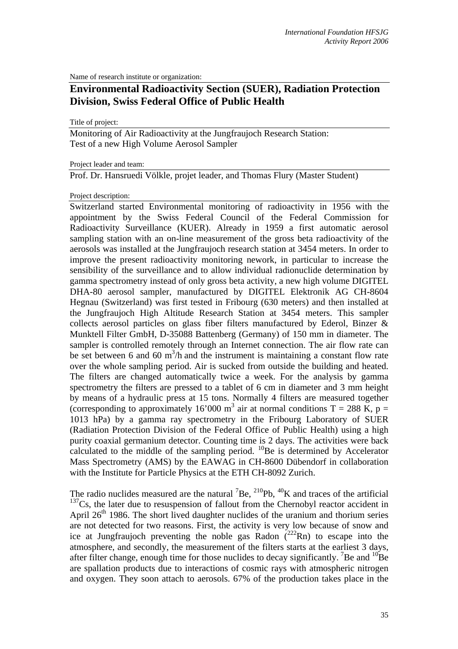Name of research institute or organization:

## **Environmental Radioactivity Section (SUER), Radiation Protection Division, Swiss Federal Office of Public Health**

Title of project:

Monitoring of Air Radioactivity at the Jungfraujoch Research Station: Test of a new High Volume Aerosol Sampler

Project leader and team:

Prof. Dr. Hansruedi Völkle, projet leader, and Thomas Flury (Master Student)

## Project description:

Switzerland started Environmental monitoring of radioactivity in 1956 with the appointment by the Swiss Federal Council of the Federal Commission for Radioactivity Surveillance (KUER). Already in 1959 a first automatic aerosol sampling station with an on-line measurement of the gross beta radioactivity of the aerosols was installed at the Jungfraujoch research station at 3454 meters. In order to improve the present radioactivity monitoring nework, in particular to increase the sensibility of the surveillance and to allow individual radionuclide determination by gamma spectrometry instead of only gross beta activity, a new high volume DIGITEL DHA-80 aerosol sampler, manufactured by DIGITEL Elektronik AG CH-8604 Hegnau (Switzerland) was first tested in Fribourg (630 meters) and then installed at the Jungfraujoch High Altitude Research Station at 3454 meters. This sampler collects aerosol particles on glass fiber filters manufactured by Ederol, Binzer & Munktell Filter GmbH, D-35088 Battenberg (Germany) of 150 mm in diameter. The sampler is controlled remotely through an Internet connection. The air flow rate can be set between 6 and 60  $m^3/h$  and the instrument is maintaining a constant flow rate over the whole sampling period. Air is sucked from outside the building and heated. The filters are changed automatically twice a week. For the analysis by gamma spectrometry the filters are pressed to a tablet of 6 cm in diameter and 3 mm height by means of a hydraulic press at 15 tons. Normally 4 filters are measured together (corresponding to approximately 16'000 m<sup>3</sup> air at normal conditions T = 288 K, p = 1013 hPa) by a gamma ray spectrometry in the Fribourg Laboratory of SUER (Radiation Protection Division of the Federal Office of Public Health) using a high purity coaxial germanium detector. Counting time is 2 days. The activities were back calculated to the middle of the sampling period.  $^{10}$ Be is determined by Accelerator Mass Spectrometry (AMS) by the EAWAG in CH-8600 Dübendorf in collaboration with the Institute for Particle Physics at the ETH CH-8092 Zurich.

The radio nuclides measured are the natural  ${}^{7}Be$ ,  ${}^{210}Pb$ ,  ${}^{40}K$  and traces of the artificial  $137Cs$ , the later due to resuspension of fallout from the Chernobyl reactor accident in April  $26<sup>th</sup>$  1986. The short lived daughter nuclides of the uranium and thorium series are not detected for two reasons. First, the activity is very low because of snow and ice at Jungfraujoch preventing the noble gas Radon  $(^{222}Rn)$  to escape into the atmosphere, and secondly, the measurement of the filters starts at the earliest 3 days, after filter change, enough time for those nuclides to decay significantly. <sup>7</sup>Be and <sup>10</sup>Be are spallation products due to interactions of cosmic rays with atmospheric nitrogen and oxygen. They soon attach to aerosols. 67% of the production takes place in the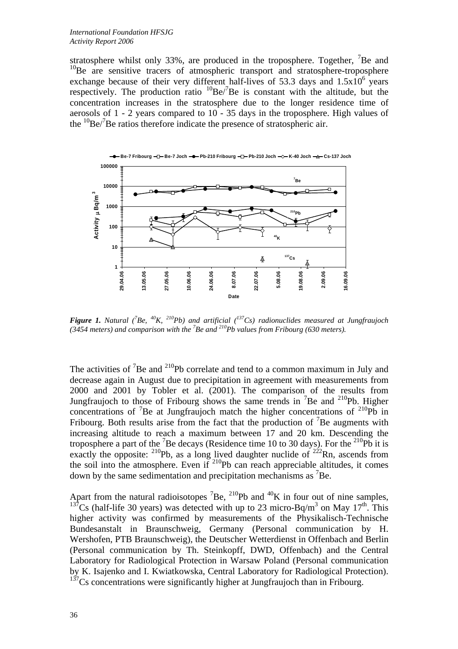stratosphere whilst only 33%, are produced in the troposphere. Together,  ${}^{7}$ Be and  $10$ Be are sensitive tracers of atmospheric transport and stratosphere-troposphere exchange because of their very different half-lives of 53.3 days and  $1.5x10^6$  years respectively. The production ratio  ${}^{10}$ Be/ ${}^{7}$ Be is constant with the altitude, but the concentration increases in the stratosphere due to the longer residence time of aerosols of 1 - 2 years compared to 10 - 35 days in the troposphere. High values of the  ${}^{10}$ Be/ ${}^{7}$ Be ratios therefore indicate the presence of stratospheric air.



**Figure 1.** Natural (<sup>7</sup>Be, <sup>40</sup>K, <sup>210</sup>Pb) and artificial (<sup>137</sup>Cs) radionuclides measured at Jungfraujoch (3454 meters) and comparison with the <sup>7</sup>Be and <sup>210</sup>Pb values from Fribourg (630 meters).

The activities of  ${}^{7}$ Be and  ${}^{210}$ Pb correlate and tend to a common maximum in July and decrease again in August due to precipitation in agreement with measurements from 2000 and 2001 by Tobler et al. (2001). The comparison of the results from Jungfraujoch to those of Fribourg shows the same trends in  ${}^{7}$ Be and  ${}^{210}$ Pb. Higher concentrations of  ${}^{7}$ Be at Jungfraujoch match the higher concentrations of  ${}^{210}$ Pb in Fribourg. Both results arise from the fact that the production of  ${}^{7}$ Be augments with increasing altitude to reach a maximum between 17 and 20 km. Descending the troposphere a part of the <sup>7</sup>Be decays (Residence time 10 to 30 days). For the <sup>210</sup>Pb it is exactly the opposite: <sup>210</sup>Pb, as a long lived daughter nuclide of <sup>222</sup>Rn, ascends from the soil into the atmosphere. Even if  $^{210}$ Pb can reach appreciable altitudes, it comes down by the same sedimentation and precipitation mechanisms as  ${}^{7}$ Be.

Apart from the natural radioisotopes <sup>7</sup>Be, <sup>210</sup>Pb and <sup>40</sup>K in four out of nine samples, <sup>137</sup>Cs (half-life 30 years) was detected with up to 23 micro-Bq/m<sup>3</sup> on May 17<sup>th</sup>. This higher activity was confirmed by measurements of the Physikalisch-Technische Bundesanstalt in Braunschweig, Germany (Personal communication by H. Wershofen, PTB Braunschweig), the Deutscher Wetterdienst in Offenbach and Berlin (Personal communication by Th. Steinkopff, DWD, Offenbach) and the Central Laboratory for Radiological Protection in Warsaw Poland (Personal communication by K. Isajenko and I. Kwiatkowska, Central Laboratory for Radiological Protection).  $137<sub>Cs</sub>$  concentrations were significantly higher at Jungfraujoch than in Fribourg.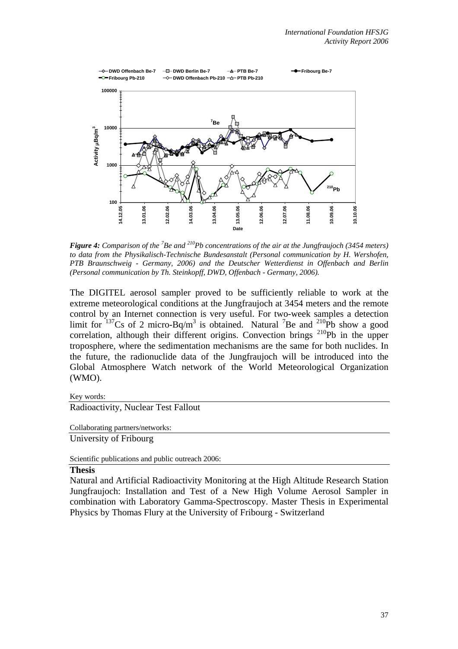

**Figure 4:** Comparison of the <sup>7</sup>Be and <sup>210</sup>Pb concentrations of the air at the Jungfraujoch (3454 meters) *to data from the Physikalisch-Technische Bundesanstalt (Personal communication by H. Wershofen, PTB Braunschweig - Germany, 2006) and the Deutscher Wetterdienst in Offenbach and Berlin (Personal communication by Th. Steinkopff, DWD, Offenbach - Germany, 2006).* 

The DIGITEL aerosol sampler proved to be sufficiently reliable to work at the extreme meteorological conditions at the Jungfraujoch at 3454 meters and the remote control by an Internet connection is very useful. For two-week samples a detection limit for  $137$ Cs of 2 micro-Bq/m<sup>3</sup> is obtained. Natural <sup>7</sup>Be and  $210$ Pb show a good correlation, although their different origins. Convection brings  $^{210}Pb$  in the upper troposphere, where the sedimentation mechanisms are the same for both nuclides. In the future, the radionuclide data of the Jungfraujoch will be introduced into the Global Atmosphere Watch network of the World Meteorological Organization (WMO).

Key words:

## Radioactivity, Nuclear Test Fallout

Collaborating partners/networks:

University of Fribourg

Scientific publications and public outreach 2006:

## **Thesis**

Natural and Artificial Radioactivity Monitoring at the High Altitude Research Station Jungfraujoch: Installation and Test of a New High Volume Aerosol Sampler in combination with Laboratory Gamma-Spectroscopy. Master Thesis in Experimental Physics by Thomas Flury at the University of Fribourg - Switzerland